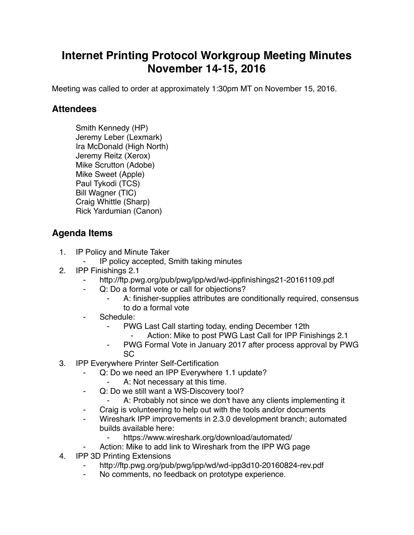## **Internet Printing Protocol Workgroup Meeting Minutes November 14-15, 2016**

Meeting was called to order at approximately 1:30pm MT on November 15, 2016.

## **Attendees**

Smith Kennedy (HP) Jeremy Leber (Lexmark) Ira McDonald (High North) Jeremy Reitz (Xerox) Mike Scrutton (Adobe) Mike Sweet (Apple) Paul Tykodi (TCS) Bill Wagner (TIC) Craig Whittle (Sharp) Rick Yardumian (Canon)

## **Agenda Items**

- 1. IP Policy and Minute Taker
	- ⁃ IP policy accepted, Smith taking minutes
- 2. IPP Finishings 2.1
	- http://ftp.pwg.org/pub/pwg/ipp/wd/wd-ippfinishings21-20161109.pdf
	- Q: Do a formal vote or call for objections?
		- A: finisher-supplies attributes are conditionally required, consensus to do a formal vote
	- ⁃ Schedule:
		- ⁃ PWG Last Call starting today, ending December 12th
			- Action: Mike to post PWG Last Call for IPP Finishings 2.1
		- ⁃ PWG Formal Vote in January 2017 after process approval by PWG SC
- 3. IPP Everywhere Printer Self-Certification
	- ⁃ Q: Do we need an IPP Everywhere 1.1 update?
		- A: Not necessary at this time.
	- ⁃ Q: Do we still want a WS-Discovery tool?
		- A: Probably not since we don't have any clients implementing it
		- Craig is volunteering to help out with the tools and/or documents
	- Wireshark IPP improvements in 2.3.0 development branch; automated builds available here:
		- https://www.wireshark.org/download/automated/
		- Action: Mike to add link to Wireshark from the IPP WG page
- 4. IPP 3D Printing Extensions
	- http://ftp.pwg.org/pub/pwg/ipp/wd/wd-ipp3d10-20160824-rev.pdf
	- ⁃ No comments, no feedback on prototype experience.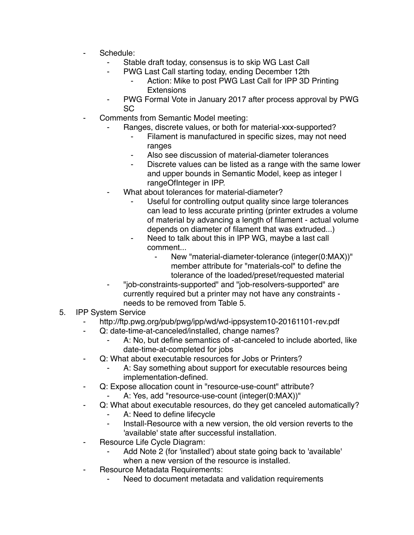- Schedule:
	- Stable draft today, consensus is to skip WG Last Call
	- PWG Last Call starting today, ending December 12th
		- Action: Mike to post PWG Last Call for IPP 3D Printing **Extensions**
	- PWG Formal Vote in January 2017 after process approval by PWG SC
- Comments from Semantic Model meeting:
	- Ranges, discrete values, or both for material-xxx-supported?
		- Filament is manufactured in specific sizes, may not need ranges
		- ⁃ Also see discussion of material-diameter tolerances
		- Discrete values can be listed as a range with the same lower and upper bounds in Semantic Model, keep as integer | rangeOfInteger in IPP.
	- What about tolerances for material-diameter?
		- Useful for controlling output quality since large tolerances can lead to less accurate printing (printer extrudes a volume of material by advancing a length of filament - actual volume depends on diameter of filament that was extruded...)
		- Need to talk about this in IPP WG, maybe a last call comment...
			- New "material-diameter-tolerance (integer(0:MAX))" member attribute for "materials-col" to define the tolerance of the loaded/preset/requested material
	- ⁃ "job-constraints-supported" and "job-resolvers-supported" are currently required but a printer may not have any constraints needs to be removed from Table 5.
- 5. IPP System Service
	- http://ftp.pwg.org/pub/pwg/ipp/wd/wd-ippsystem10-20161101-rev.pdf
	- ⁃ Q: date-time-at-canceled/installed, change names?
		- A: No, but define semantics of -at-canceled to include aborted, like date-time-at-completed for jobs
	- Q: What about executable resources for Jobs or Printers?
		- A: Say something about support for executable resources being implementation-defined.
	- ⁃ Q: Expose allocation count in "resource-use-count" attribute?
		- A: Yes, add "resource-use-count (integer(0:MAX))"
	- Q: What about executable resources, do they get canceled automatically?
		- A: Need to define lifecycle
		- ⁃ Install-Resource with a new version, the old version reverts to the 'available' state after successful installation.
	- Resource Life Cycle Diagram:
		- Add Note 2 (for 'installed') about state going back to 'available' when a new version of the resource is installed.
	- ⁃ Resource Metadata Requirements:
		- Need to document metadata and validation requirements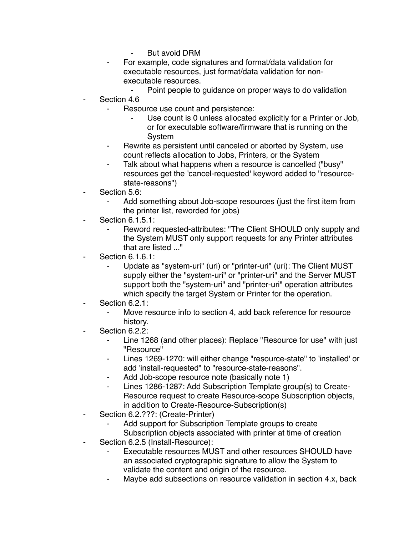- **But avoid DRM**
- For example, code signatures and format/data validation for executable resources, just format/data validation for nonexecutable resources.
	- ⁃ Point people to guidance on proper ways to do validation
- Section 4.6
	- Resource use count and persistence:
		- Use count is 0 unless allocated explicitly for a Printer or Job, or for executable software/firmware that is running on the **System**
	- Rewrite as persistent until canceled or aborted by System, use count reflects allocation to Jobs, Printers, or the System
	- Talk about what happens when a resource is cancelled ("busy" resources get the 'cancel-requested' keyword added to "resourcestate-reasons")
- Section 5.6:
	- Add something about Job-scope resources (just the first item from the printer list, reworded for jobs)
- **Section 6.1.5.1:** 
	- Reword requested-attributes: "The Client SHOULD only supply and the System MUST only support requests for any Printer attributes that are listed ..."
- **Section 6.1.6.1:** 
	- Update as "system-uri" (uri) or "printer-uri" (uri): The Client MUST supply either the "system-uri" or "printer-uri" and the Server MUST support both the "system-uri" and "printer-uri" operation attributes which specify the target System or Printer for the operation.
- Section 6.2.1:
	- Move resource info to section 4, add back reference for resource history.
- Section 6.2.2:
	- ⁃ Line 1268 (and other places): Replace "Resource for use" with just "Resource"
	- ⁃ Lines 1269-1270: will either change "resource-state" to 'installed' or add 'install-requested" to "resource-state-reasons".
	- Add Job-scope resource note (basically note 1)
	- ⁃ Lines 1286-1287: Add Subscription Template group(s) to Create-Resource request to create Resource-scope Subscription objects, in addition to Create-Resource-Subscription(s)
- Section 6.2.???: (Create-Printer)
	- Add support for Subscription Template groups to create Subscription objects associated with printer at time of creation
- Section 6.2.5 (Install-Resource):
	- Executable resources MUST and other resources SHOULD have an associated cryptographic signature to allow the System to validate the content and origin of the resource.
	- Maybe add subsections on resource validation in section 4.x, back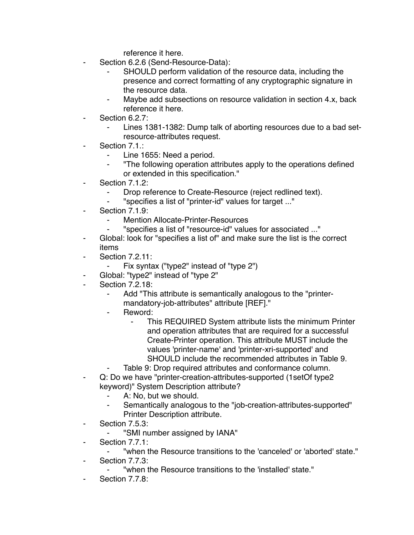reference it here.

- Section 6.2.6 (Send-Resource-Data):
	- SHOULD perform validation of the resource data, including the presence and correct formatting of any cryptographic signature in the resource data.
	- Maybe add subsections on resource validation in section 4.x, back reference it here.
- Section 6.2.7:
	- Lines 1381-1382: Dump talk of aborting resources due to a bad setresource-attributes request.
- Section 7.1.:
	- ⁃ Line 1655: Need a period.
	- ⁃ "The following operation attributes apply to the operations defined or extended in this specification."
- Section 7.1.2:
	- Drop reference to Create-Resource (reject redlined text).
	- ⁃ "specifies a list of "printer-id" values for target ..."
- Section 7.1.9:
	- **Mention Allocate-Printer-Resources**
	- ⁃ "specifies a list of "resource-id" values for associated ..."
- Global: look for "specifies a list of" and make sure the list is the correct items
- Section 7.2.11:
	- ⁃ Fix syntax ("type2" instead of "type 2")
- ⁃ Global: "type2" instead of "type 2"
- Section 7.2.18:
	- ⁃ Add "This attribute is semantically analogous to the "printermandatory-job-attributes" attribute [REF]."
	- Reword:
		- This REQUIRED System attribute lists the minimum Printer and operation attributes that are required for a successful Create-Printer operation. This attribute MUST include the values 'printer-name' and 'printer-xri-supported' and SHOULD include the recommended attributes in Table 9.
		- Table 9: Drop required attributes and conformance column.
- Q: Do we have "printer-creation-attributes-supported (1setOf type2) keyword)" System Description attribute?
	- A: No, but we should.
	- Semantically analogous to the "job-creation-attributes-supported" Printer Description attribute.
- ⁃ Section 7.5.3:
	- ⁃ "SMI number assigned by IANA"
- Section 7.7.1:
	- ⁃ "when the Resource transitions to the 'canceled' or 'aborted' state."
- ⁃ Section 7.7.3:
	- ⁃ "when the Resource transitions to the 'installed' state."
- Section 7.7.8: